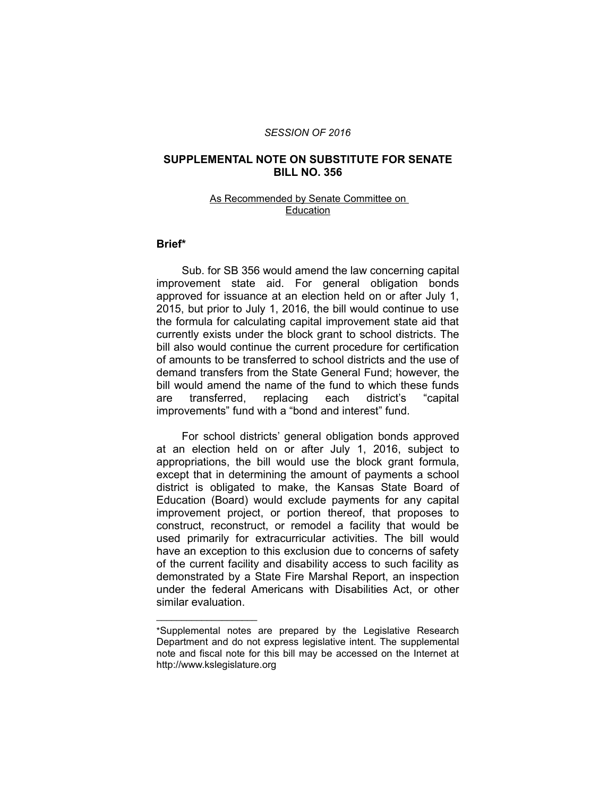#### *SESSION OF 2016*

# **SUPPLEMENTAL NOTE ON SUBSTITUTE FOR SENATE BILL NO. 356**

### As Recommended by Senate Committee on Education

## **Brief\***

Sub. for SB 356 would amend the law concerning capital improvement state aid. For general obligation bonds approved for issuance at an election held on or after July 1, 2015, but prior to July 1, 2016, the bill would continue to use the formula for calculating capital improvement state aid that currently exists under the block grant to school districts. The bill also would continue the current procedure for certification of amounts to be transferred to school districts and the use of demand transfers from the State General Fund; however, the bill would amend the name of the fund to which these funds are transferred, replacing each district's "capital improvements" fund with a "bond and interest" fund.

For school districts' general obligation bonds approved at an election held on or after July 1, 2016, subject to appropriations, the bill would use the block grant formula, except that in determining the amount of payments a school district is obligated to make, the Kansas State Board of Education (Board) would exclude payments for any capital improvement project, or portion thereof, that proposes to construct, reconstruct, or remodel a facility that would be used primarily for extracurricular activities. The bill would have an exception to this exclusion due to concerns of safety of the current facility and disability access to such facility as demonstrated by a State Fire Marshal Report, an inspection under the federal Americans with Disabilities Act, or other similar evaluation.

 $\overline{\phantom{a}}$  , where  $\overline{\phantom{a}}$  , where  $\overline{\phantom{a}}$ 

<sup>\*</sup>Supplemental notes are prepared by the Legislative Research Department and do not express legislative intent. The supplemental note and fiscal note for this bill may be accessed on the Internet at http://www.kslegislature.org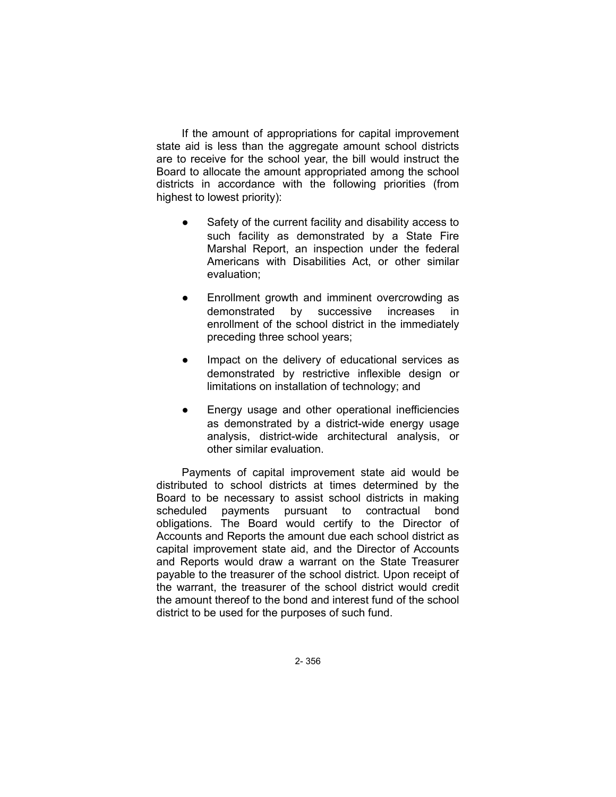If the amount of appropriations for capital improvement state aid is less than the aggregate amount school districts are to receive for the school year, the bill would instruct the Board to allocate the amount appropriated among the school districts in accordance with the following priorities (from highest to lowest priority):

- Safety of the current facility and disability access to such facility as demonstrated by a State Fire Marshal Report, an inspection under the federal Americans with Disabilities Act, or other similar evaluation;
- Enrollment growth and imminent overcrowding as demonstrated by successive increases in enrollment of the school district in the immediately preceding three school years;
- Impact on the delivery of educational services as demonstrated by restrictive inflexible design or limitations on installation of technology; and
- Energy usage and other operational inefficiencies as demonstrated by a district-wide energy usage analysis, district-wide architectural analysis, or other similar evaluation.

Payments of capital improvement state aid would be distributed to school districts at times determined by the Board to be necessary to assist school districts in making scheduled payments pursuant to contractual bond obligations. The Board would certify to the Director of Accounts and Reports the amount due each school district as capital improvement state aid, and the Director of Accounts and Reports would draw a warrant on the State Treasurer payable to the treasurer of the school district. Upon receipt of the warrant, the treasurer of the school district would credit the amount thereof to the bond and interest fund of the school district to be used for the purposes of such fund.